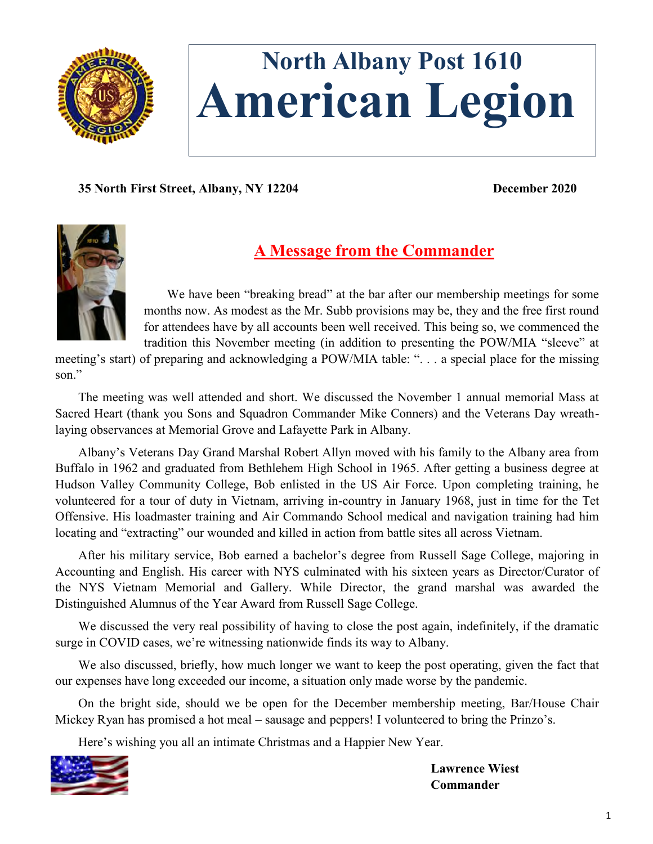

# **North Albany Post 1610 American Legion**

**35 North First Street, Albany, NY 12204 December 2020**



## **A Message from the Commander**

We have been "breaking bread" at the bar after our membership meetings for some months now. As modest as the Mr. Subb provisions may be, they and the free first round for attendees have by all accounts been well received. This being so, we commenced the tradition this November meeting (in addition to presenting the POW/MIA "sleeve" at

meeting's start) of preparing and acknowledging a POW/MIA table: ". . . a special place for the missing son<sup>"</sup>

The meeting was well attended and short. We discussed the November 1 annual memorial Mass at Sacred Heart (thank you Sons and Squadron Commander Mike Conners) and the Veterans Day wreathlaying observances at Memorial Grove and Lafayette Park in Albany.

Albany's Veterans Day Grand Marshal Robert Allyn moved with his family to the Albany area from Buffalo in 1962 and graduated from Bethlehem High School in 1965. After getting a business degree at Hudson Valley Community College, Bob enlisted in the US Air Force. Upon completing training, he volunteered for a tour of duty in Vietnam, arriving in-country in January 1968, just in time for the Tet Offensive. His loadmaster training and Air Commando School medical and navigation training had him locating and "extracting" our wounded and killed in action from battle sites all across Vietnam.

After his military service, Bob earned a bachelor's degree from Russell Sage College, majoring in Accounting and English. His career with NYS culminated with his sixteen years as Director/Curator of the NYS Vietnam Memorial and Gallery. While Director, the grand marshal was awarded the Distinguished Alumnus of the Year Award from Russell Sage College.

We discussed the very real possibility of having to close the post again, indefinitely, if the dramatic surge in COVID cases, we're witnessing nationwide finds its way to Albany.

We also discussed, briefly, how much longer we want to keep the post operating, given the fact that our expenses have long exceeded our income, a situation only made worse by the pandemic.

On the bright side, should we be open for the December membership meeting, Bar/House Chair Mickey Ryan has promised a hot meal – sausage and peppers! I volunteered to bring the Prinzo's.

Here's wishing you all an intimate Christmas and a Happier New Year.



**Lawrence Wiest Commander**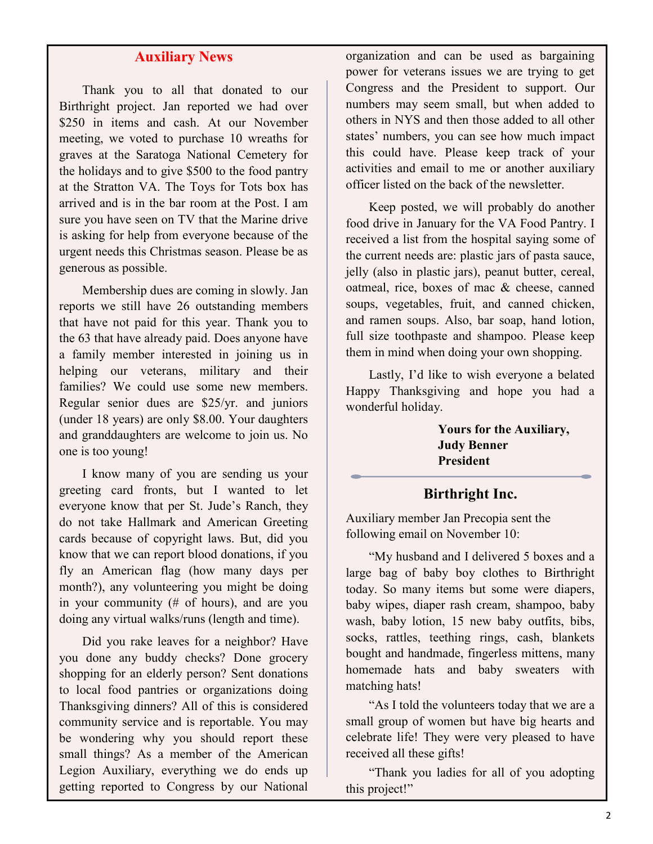### **Auxiliary News**

Thank you to all that donated to our Birthright project. Jan reported we had over \$250 in items and cash. At our November meeting, we voted to purchase 10 wreaths for graves at the Saratoga National Cemetery for the holidays and to give \$500 to the food pantry at the Stratton VA. The Toys for Tots box has arrived and is in the bar room at the Post. I am sure you have seen on TV that the Marine drive is asking for help from everyone because of the urgent needs this Christmas season. Please be as generous as possible.

Membership dues are coming in slowly. Jan reports we still have 26 outstanding members that have not paid for this year. Thank you to the 63 that have already paid. Does anyone have a family member interested in joining us in helping our veterans, military and their families? We could use some new members. Regular senior dues are \$25/yr. and juniors (under 18 years) are only \$8.00. Your daughters and granddaughters are welcome to join us. No one is too young!

I know many of you are sending us your greeting card fronts, but I wanted to let everyone know that per St. Jude's Ranch, they do not take Hallmark and American Greeting cards because of copyright laws. But, did you know that we can report blood donations, if you fly an American flag (how many days per month?), any volunteering you might be doing in your community (# of hours), and are you doing any virtual walks/runs (length and time).

Did you rake leaves for a neighbor? Have you done any buddy checks? Done grocery shopping for an elderly person? Sent donations to local food pantries or organizations doing Thanksgiving dinners? All of this is considered community service and is reportable. You may be wondering why you should report these small things? As a member of the American Legion Auxiliary, everything we do ends up getting reported to Congress by our National

organization and can be used as bargaining power for veterans issues we are trying to get Congress and the President to support. Our numbers may seem small, but when added to others in NYS and then those added to all other states' numbers, you can see how much impact this could have. Please keep track of your activities and email to me or another auxiliary officer listed on the back of the newsletter.

Keep posted, we will probably do another food drive in January for the VA Food Pantry. I received a list from the hospital saying some of the current needs are: plastic jars of pasta sauce, jelly (also in plastic jars), peanut butter, cereal, oatmeal, rice, boxes of mac & cheese, canned soups, vegetables, fruit, and canned chicken, and ramen soups. Also, bar soap, hand lotion, full size toothpaste and shampoo. Please keep them in mind when doing your own shopping.

Lastly, I'd like to wish everyone a belated Happy Thanksgiving and hope you had a wonderful holiday.

> **Yours for the Auxiliary, Judy Benner President**

#### **Birthright Inc.**

Auxiliary member Jan Precopia sent the following email on November 10:

"My husband and I delivered 5 boxes and a large bag of baby boy clothes to Birthright today. So many items but some were diapers, baby wipes, diaper rash cream, shampoo, baby wash, baby lotion, 15 new baby outfits, bibs, socks, rattles, teething rings, cash, blankets bought and handmade, fingerless mittens, many homemade hats and baby sweaters with matching hats!

"As I told the volunteers today that we are a small group of women but have big hearts and celebrate life! They were very pleased to have received all these gifts!

"Thank you ladies for all of you adopting this project!"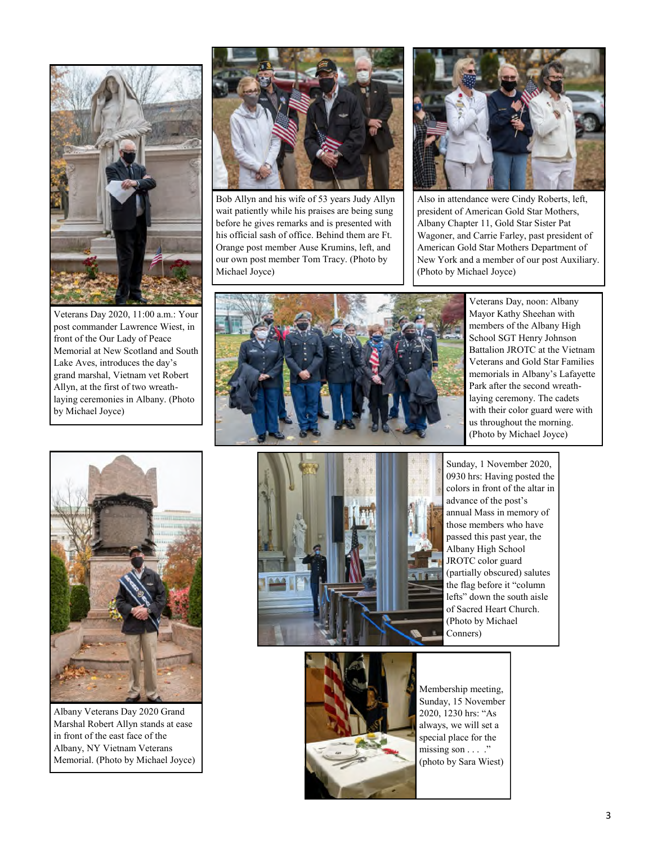

Veterans Day 2020, 11:00 a.m.: Your post commander Lawrence Wiest, in front of the Our Lady of Peace Memorial at New Scotland and South Lake Aves, introduces the day's grand marshal, Vietnam vet Robert Allyn, at the first of two wreathlaying ceremonies in Albany. (Photo by Michael Joyce)



Bob Allyn and his wife of 53 years Judy Allyn wait patiently while his praises are being sung before he gives remarks and is presented with his official sash of office. Behind them are Ft. Orange post member Ause Krumins, left, and our own post member Tom Tracy. (Photo by Michael Joyce)



Also in attendance were Cindy Roberts, left, president of American Gold Star Mothers, Albany Chapter 11, Gold Star Sister Pat Wagoner, and Carrie Farley, past president of American Gold Star Mothers Department of New York and a member of our post Auxiliary. (Photo by Michael Joyce)



Veterans Day, noon: Albany Mayor Kathy Sheehan with members of the Albany High School SGT Henry Johnson Battalion JROTC at the Vietnam Veterans and Gold Star Families memorials in Albany's Lafayette Park after the second wreathlaying ceremony. The cadets with their color guard were with us throughout the morning. (Photo by Michael Joyce)



Albany Veterans Day 2020 Grand Marshal Robert Allyn stands at ease in front of the east face of the Albany, NY Vietnam Veterans Memorial. (Photo by Michael Joyce)



Sunday, 1 November 2020, 0930 hrs: Having posted the colors in front of the altar in advance of the post's annual Mass in memory of those members who have passed this past year, the Albany High School JROTC color guard (partially obscured) salutes the flag before it "column lefts" down the south aisle of Sacred Heart Church. (Photo by Michael Conners)



Membership meeting, Sunday, 15 November 2020, 1230 hrs: "As always, we will set a special place for the missing son  $\dots$  ." (photo by Sara Wiest)